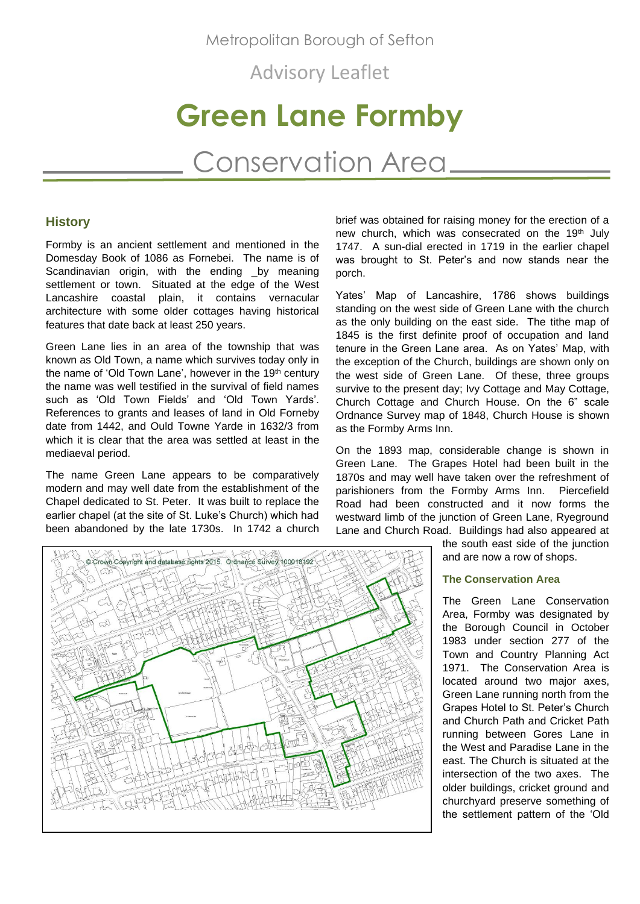Metropolitan Borough of Sefton

Advisory Leaflet

# **Green Lane Formby**

Conservation Area

# **History**

Formby is an ancient settlement and mentioned in the Domesday Book of 1086 as Fornebei. The name is of Scandinavian origin, with the ending \_by meaning settlement or town. Situated at the edge of the West Lancashire coastal plain, it contains vernacular architecture with some older cottages having historical features that date back at least 250 years.

Green Lane lies in an area of the township that was known as Old Town, a name which survives today only in the name of 'Old Town Lane', however in the 19<sup>th</sup> century the name was well testified in the survival of field names such as 'Old Town Fields' and 'Old Town Yards'. References to grants and leases of land in Old Forneby date from 1442, and Ould Towne Yarde in 1632/3 from which it is clear that the area was settled at least in the mediaeval period.

The name Green Lane appears to be comparatively modern and may well date from the establishment of the Chapel dedicated to St. Peter. It was built to replace the earlier chapel (at the site of St. Luke's Church) which had been abandoned by the late 1730s. In 1742 a church

brief was obtained for raising money for the erection of a new church, which was consecrated on the 19<sup>th</sup> July 1747. A sun-dial erected in 1719 in the earlier chapel was brought to St. Peter's and now stands near the porch.

Yates' Map of Lancashire, 1786 shows buildings standing on the west side of Green Lane with the church as the only building on the east side. The tithe map of 1845 is the first definite proof of occupation and land tenure in the Green Lane area. As on Yates' Map, with the exception of the Church, buildings are shown only on the west side of Green Lane. Of these, three groups survive to the present day; Ivy Cottage and May Cottage, Church Cottage and Church House. On the 6" scale Ordnance Survey map of 1848, Church House is shown as the Formby Arms Inn.

On the 1893 map, considerable change is shown in Green Lane. The Grapes Hotel had been built in the 1870s and may well have taken over the refreshment of parishioners from the Formby Arms Inn. Piercefield Road had been constructed and it now forms the westward limb of the junction of Green Lane, Ryeground Lane and Church Road. Buildings had also appeared at



the south east side of the junction and are now a row of shops.

#### **The Conservation Area**

The Green Lane Conservation Area, Formby was designated by the Borough Council in October 1983 under section 277 of the Town and Country Planning Act 1971. The Conservation Area is located around two major axes, Green Lane running north from the Grapes Hotel to St. Peter's Church and Church Path and Cricket Path running between Gores Lane in the West and Paradise Lane in the east. The Church is situated at the intersection of the two axes. The older buildings, cricket ground and churchyard preserve something of the settlement pattern of the 'Old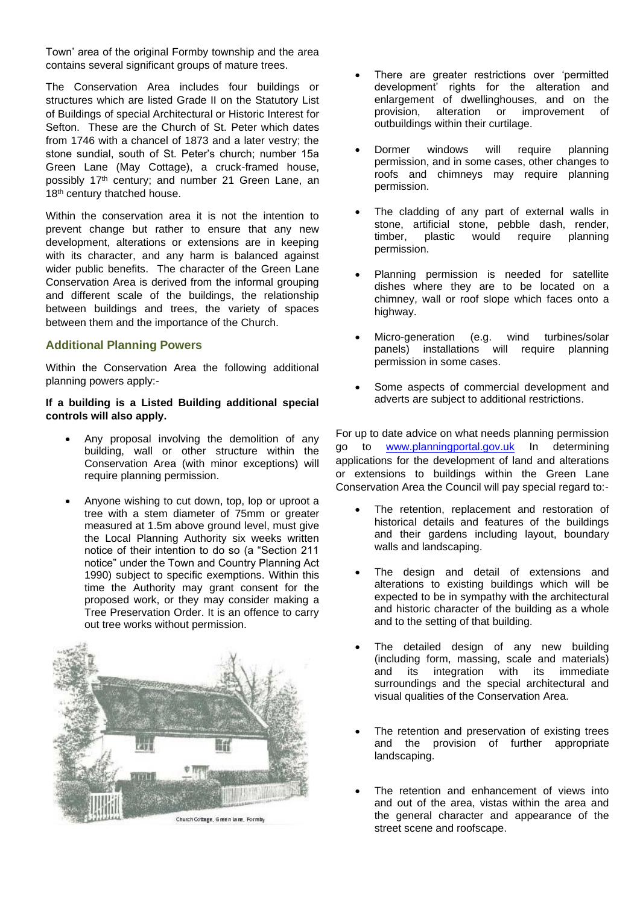Town' area of the original Formby township and the area contains several significant groups of mature trees.

The Conservation Area includes four buildings or structures which are listed Grade II on the Statutory List of Buildings of special Architectural or Historic Interest for Sefton. These are the Church of St. Peter which dates from 1746 with a chancel of 1873 and a later vestry; the stone sundial, south of St. Peter's church; number 15a Green Lane (May Cottage), a cruck-framed house, possibly 17th century; and number 21 Green Lane, an 18<sup>th</sup> century thatched house.

Within the conservation area it is not the intention to prevent change but rather to ensure that any new development, alterations or extensions are in keeping with its character, and any harm is balanced against wider public benefits. The character of the Green Lane Conservation Area is derived from the informal grouping and different scale of the buildings, the relationship between buildings and trees, the variety of spaces between them and the importance of the Church.

# **Additional Planning Powers**

Within the Conservation Area the following additional planning powers apply:-

# **If a building is a Listed Building additional special controls will also apply.**

- Any proposal involving the demolition of any building, wall or other structure within the Conservation Area (with minor exceptions) will require planning permission.
- Anyone wishing to cut down, top, lop or uproot a tree with a stem diameter of 75mm or greater measured at 1.5m above ground level, must give the Local Planning Authority six weeks written notice of their intention to do so (a "Section 211 notice" under the Town and Country Planning Act 1990) subject to specific exemptions. Within this time the Authority may grant consent for the proposed work, or they may consider making a Tree Preservation Order. It is an offence to carry out tree works without permission.



- There are greater restrictions over 'permitted development' rights for the alteration and enlargement of dwellinghouses, and on the provision, alteration or improvement of outbuildings within their curtilage.
- Dormer windows will require planning permission, and in some cases, other changes to roofs and chimneys may require planning permission.
- The cladding of any part of external walls in stone, artificial stone, pebble dash, render, timber, plastic would require planning permission.
- Planning permission is needed for satellite dishes where they are to be located on a chimney, wall or roof slope which faces onto a highway.
- Micro-generation (e.g. wind turbines/solar panels) installations will require planning permission in some cases.
- Some aspects of commercial development and adverts are subject to additional restrictions.

For up to date advice on what needs planning permission go to [www.planningportal.gov.uk](http://www.planningportal.gov.uk/) In determining applications for the development of land and alterations or extensions to buildings within the Green Lane Conservation Area the Council will pay special regard to:-

- The retention, replacement and restoration of historical details and features of the buildings and their gardens including layout, boundary walls and landscaping.
- The design and detail of extensions and alterations to existing buildings which will be expected to be in sympathy with the architectural and historic character of the building as a whole and to the setting of that building.
- The detailed design of any new building (including form, massing, scale and materials) and its integration with its immediate surroundings and the special architectural and visual qualities of the Conservation Area.
- The retention and preservation of existing trees and the provision of further appropriate landscaping.
- The retention and enhancement of views into and out of the area, vistas within the area and the general character and appearance of the street scene and roofscape.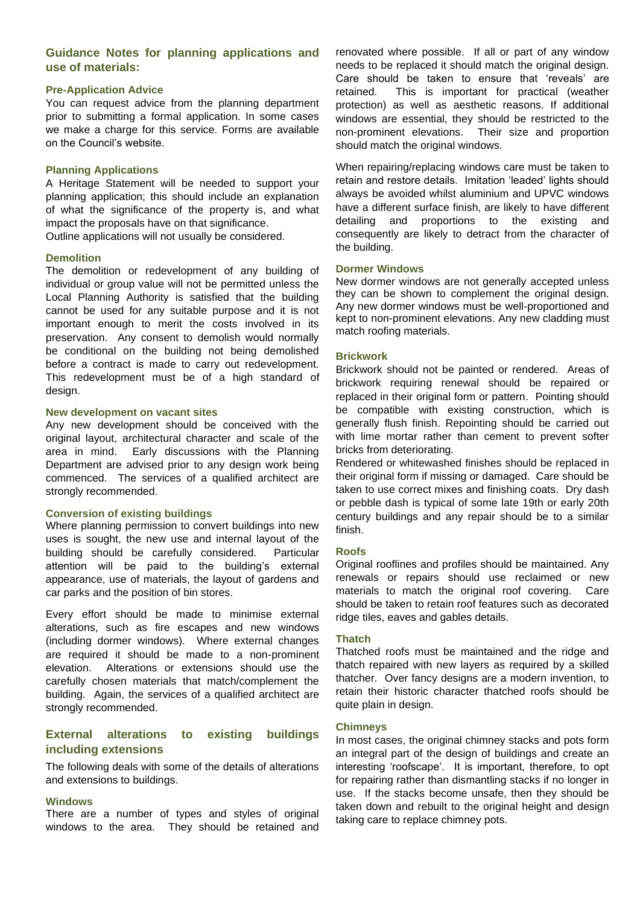# **Guidance Notes for planning applications and use of materials:**

# **Pre-Application Advice**

You can request advice from the planning department prior to submitting a formal application. In some cases we make a charge for this service. Forms are available on the Council's website.

### **Planning Applications**

A Heritage Statement will be needed to support your planning application; this should include an explanation of what the significance of the property is, and what impact the proposals have on that significance.

Outline applications will not usually be considered.

#### **Demolition**

The demolition or redevelopment of any building of individual or group value will not be permitted unless the Local Planning Authority is satisfied that the building cannot be used for any suitable purpose and it is not important enough to merit the costs involved in its preservation. Any consent to demolish would normally be conditional on the building not being demolished before a contract is made to carry out redevelopment. This redevelopment must be of a high standard of design.

#### **New development on vacant sites**

Any new development should be conceived with the original layout, architectural character and scale of the area in mind. Early discussions with the Planning Department are advised prior to any design work being commenced. The services of a qualified architect are strongly recommended.

### **Conversion of existing buildings**

Where planning permission to convert buildings into new uses is sought, the new use and internal layout of the building should be carefully considered. Particular attention will be paid to the building's external appearance, use of materials, the layout of gardens and car parks and the position of bin stores.

Every effort should be made to minimise external alterations, such as fire escapes and new windows (including dormer windows). Where external changes are required it should be made to a non-prominent elevation. Alterations or extensions should use the carefully chosen materials that match/complement the building. Again, the services of a qualified architect are strongly recommended.

# **External alterations to existing buildings including extensions**

The following deals with some of the details of alterations and extensions to buildings.

#### **Windows**

There are a number of types and styles of original windows to the area. They should be retained and

renovated where possible. If all or part of any window needs to be replaced it should match the original design. Care should be taken to ensure that 'reveals' are retained. This is important for practical (weather protection) as well as aesthetic reasons. If additional windows are essential, they should be restricted to the non-prominent elevations. Their size and proportion should match the original windows.

When repairing/replacing windows care must be taken to retain and restore details. Imitation 'leaded' lights should always be avoided whilst aluminium and UPVC windows have a different surface finish, are likely to have different detailing and proportions to the existing and consequently are likely to detract from the character of the building.

#### **Dormer Windows**

New dormer windows are not generally accepted unless they can be shown to complement the original design. Any new dormer windows must be well-proportioned and kept to non-prominent elevations. Any new cladding must match roofing materials.

#### **Brickwork**

Brickwork should not be painted or rendered. Areas of brickwork requiring renewal should be repaired or replaced in their original form or pattern. Pointing should be compatible with existing construction, which is generally flush finish. Repointing should be carried out with lime mortar rather than cement to prevent softer bricks from deteriorating.

Rendered or whitewashed finishes should be replaced in their original form if missing or damaged. Care should be taken to use correct mixes and finishing coats. Dry dash or pebble dash is typical of some late 19th or early 20th century buildings and any repair should be to a similar finish.

#### **Roofs**

Original rooflines and profiles should be maintained. Any renewals or repairs should use reclaimed or new materials to match the original roof covering. Care should be taken to retain roof features such as decorated ridge tiles, eaves and gables details.

# **Thatch**

Thatched roofs must be maintained and the ridge and thatch repaired with new layers as required by a skilled thatcher. Over fancy designs are a modern invention, to retain their historic character thatched roofs should be quite plain in design.

#### **Chimneys**

In most cases, the original chimney stacks and pots form an integral part of the design of buildings and create an interesting 'roofscape'. It is important, therefore, to opt for repairing rather than dismantling stacks if no longer in use. If the stacks become unsafe, then they should be taken down and rebuilt to the original height and design taking care to replace chimney pots.